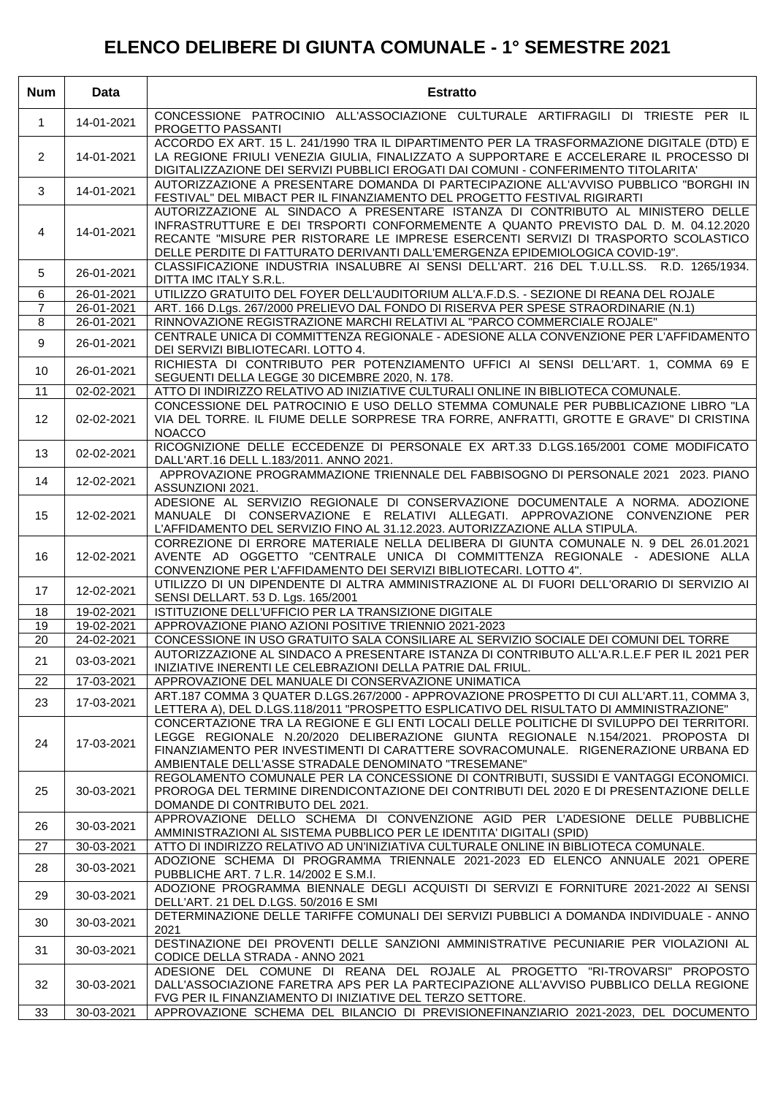## **ELENCO DELIBERE DI GIUNTA COMUNALE - 1° SEMESTRE 2021**

| <b>Num</b>      | Data       | <b>Estratto</b>                                                                                                                                                                                                                                                                                                                              |
|-----------------|------------|----------------------------------------------------------------------------------------------------------------------------------------------------------------------------------------------------------------------------------------------------------------------------------------------------------------------------------------------|
| $\mathbf{1}$    | 14-01-2021 | CONCESSIONE PATROCINIO ALL'ASSOCIAZIONE CULTURALE ARTIFRAGILI DI TRIESTE PER IL<br>PROGETTO PASSANTI                                                                                                                                                                                                                                         |
| $\overline{2}$  | 14-01-2021 | ACCORDO EX ART. 15 L. 241/1990 TRA IL DIPARTIMENTO PER LA TRASFORMAZIONE DIGITALE (DTD) E<br>LA REGIONE FRIULI VENEZIA GIULIA, FINALIZZATO A SUPPORTARE E ACCELERARE IL PROCESSO DI<br>DIGITALIZZAZIONE DEI SERVIZI PUBBLICI EROGATI DAI COMUNI - CONFERIMENTO TITOLARITA'                                                                   |
| 3               | 14-01-2021 | AUTORIZZAZIONE A PRESENTARE DOMANDA DI PARTECIPAZIONE ALL'AVVISO PUBBLICO "BORGHI IN<br>FESTIVAL" DEL MIBACT PER IL FINANZIAMENTO DEL PROGETTO FESTIVAL RIGIRARTI                                                                                                                                                                            |
| 4               | 14-01-2021 | AUTORIZZAZIONE AL SINDACO A PRESENTARE ISTANZA DI CONTRIBUTO AL MINISTERO DELLE<br>INFRASTRUTTURE E DEI TRSPORTI CONFORMEMENTE A QUANTO PREVISTO DAL D. M. 04.12.2020<br>RECANTE "MISURE PER RISTORARE LE IMPRESE ESERCENTI SERVIZI DI TRASPORTO SCOLASTICO<br>DELLE PERDITE DI FATTURATO DERIVANTI DALL'EMERGENZA EPIDEMIOLOGICA COVID-19". |
| 5               | 26-01-2021 | CLASSIFICAZIONE INDUSTRIA INSALUBRE AI SENSI DELL'ART. 216 DEL T.U.LL.SS. R.D. 1265/1934.<br>DITTA IMC ITALY S.R.L.                                                                                                                                                                                                                          |
| 6               | 26-01-2021 | UTILIZZO GRATUITO DEL FOYER DELL'AUDITORIUM ALL'A.F.D.S. - SEZIONE DI REANA DEL ROJALE                                                                                                                                                                                                                                                       |
| $\overline{7}$  | 26-01-2021 | ART. 166 D.Lgs. 267/2000 PRELIEVO DAL FONDO DI RISERVA PER SPESE STRAORDINARIE (N.1)                                                                                                                                                                                                                                                         |
| 8               | 26-01-2021 | RINNOVAZIONE REGISTRAZIONE MARCHI RELATIVI AL "PARCO COMMERCIALE ROJALE"                                                                                                                                                                                                                                                                     |
| 9               | 26-01-2021 | CENTRALE UNICA DI COMMITTENZA REGIONALE - ADESIONE ALLA CONVENZIONE PER L'AFFIDAMENTO<br>DEI SERVIZI BIBLIOTECARI. LOTTO 4.                                                                                                                                                                                                                  |
| 10              | 26-01-2021 | RICHIESTA DI CONTRIBUTO PER POTENZIAMENTO UFFICI AI SENSI DELL'ART. 1, COMMA 69 E<br>SEGUENTI DELLA LEGGE 30 DICEMBRE 2020, N. 178.                                                                                                                                                                                                          |
| 11              | 02-02-2021 | ATTO DI INDIRIZZO RELATIVO AD INIZIATIVE CULTURALI ONLINE IN BIBLIOTECA COMUNALE.                                                                                                                                                                                                                                                            |
| 12 <sup>°</sup> | 02-02-2021 | CONCESSIONE DEL PATROCINIO E USO DELLO STEMMA COMUNALE PER PUBBLICAZIONE LIBRO "LA<br>VIA DEL TORRE. IL FIUME DELLE SORPRESE TRA FORRE, ANFRATTI, GROTTE E GRAVE" DI CRISTINA<br><b>NOACCO</b>                                                                                                                                               |
| 13              | 02-02-2021 | RICOGNIZIONE DELLE ECCEDENZE DI PERSONALE EX ART.33 D.LGS.165/2001 COME MODIFICATO<br>DALL'ART.16 DELL L.183/2011. ANNO 2021.                                                                                                                                                                                                                |
| 14              | 12-02-2021 | APPROVAZIONE PROGRAMMAZIONE TRIENNALE DEL FABBISOGNO DI PERSONALE 2021 2023. PIANO<br>ASSUNZIONI 2021.                                                                                                                                                                                                                                       |
| 15              | 12-02-2021 | ADESIONE AL SERVIZIO REGIONALE DI CONSERVAZIONE DOCUMENTALE A NORMA. ADOZIONE<br>MANUALE DI CONSERVAZIONE E RELATIVI ALLEGATI. APPROVAZIONE CONVENZIONE PER<br>L'AFFIDAMENTO DEL SERVIZIO FINO AL 31.12.2023. AUTORIZZAZIONE ALLA STIPULA.                                                                                                   |
| 16              | 12-02-2021 | CORREZIONE DI ERRORE MATERIALE NELLA DELIBERA DI GIUNTA COMUNALE N. 9 DEL 26.01.2021<br>AVENTE AD OGGETTO "CENTRALE UNICA DI COMMITTENZA REGIONALE - ADESIONE ALLA<br>CONVENZIONE PER L'AFFIDAMENTO DEI SERVIZI BIBLIOTECARI. LOTTO 4".                                                                                                      |
| 17              | 12-02-2021 | UTILIZZO DI UN DIPENDENTE DI ALTRA AMMINISTRAZIONE AL DI FUORI DELL'ORARIO DI SERVIZIO AI<br>SENSI DELLART. 53 D. Lgs. 165/2001                                                                                                                                                                                                              |
| 18              | 19-02-2021 | ISTITUZIONE DELL'UFFICIO PER LA TRANSIZIONE DIGITALE                                                                                                                                                                                                                                                                                         |
| 19<br>20        | 19-02-2021 | APPROVAZIONE PIANO AZIONI POSITIVE TRIENNIO 2021-2023                                                                                                                                                                                                                                                                                        |
|                 | 24-02-2021 | CONCESSIONE IN USO GRATUITO SALA CONSILIARE AL SERVIZIO SOCIALE DEI COMUNI DEL TORRE<br>AUTORIZZAZIONE AL SINDACO A PRESENTARE ISTANZA DI CONTRIBUTO ALL'A.R.L.E.F PER IL 2021 PER                                                                                                                                                           |
| 21              | 03-03-2021 | INIZIATIVE INERENTI LE CELEBRAZIONI DELLA PATRIE DAL FRIUL.<br>APPROVAZIONE DEL MANUALE DI CONSERVAZIONE UNIMATICA                                                                                                                                                                                                                           |
| 22              | 17-03-2021 | ART.187 COMMA 3 QUATER D.LGS.267/2000 - APPROVAZIONE PROSPETTO DI CUI ALL'ART.11, COMMA 3,                                                                                                                                                                                                                                                   |
| 23              | 17-03-2021 | LETTERA A), DEL D.LGS.118/2011 "PROSPETTO ESPLICATIVO DEL RISULTATO DI AMMINISTRAZIONE"<br>CONCERTAZIONE TRA LA REGIONE E GLI ENTI LOCALI DELLE POLITICHE DI SVILUPPO DEI TERRITORI.                                                                                                                                                         |
| 24              | 17-03-2021 | LEGGE REGIONALE N.20/2020 DELIBERAZIONE GIUNTA REGIONALE N.154/2021. PROPOSTA DI<br>FINANZIAMENTO PER INVESTIMENTI DI CARATTERE SOVRACOMUNALE. RIGENERAZIONE URBANA ED<br>AMBIENTALE DELL'ASSE STRADALE DENOMINATO "TRESEMANE"                                                                                                               |
| 25              | 30-03-2021 | REGOLAMENTO COMUNALE PER LA CONCESSIONE DI CONTRIBUTI, SUSSIDI E VANTAGGI ECONOMICI.<br>PROROGA DEL TERMINE DIRENDICONTAZIONE DEI CONTRIBUTI DEL 2020 E DI PRESENTAZIONE DELLE<br>DOMANDE DI CONTRIBUTO DEL 2021.                                                                                                                            |
| 26              | 30-03-2021 | APPROVAZIONE DELLO SCHEMA DI CONVENZIONE AGID PER L'ADESIONE DELLE PUBBLICHE<br>AMMINISTRAZIONI AL SISTEMA PUBBLICO PER LE IDENTITA' DIGITALI (SPID)                                                                                                                                                                                         |
| 27              | 30-03-2021 | ATTO DI INDIRIZZO RELATIVO AD UN'INIZIATIVA CULTURALE ONLINE IN BIBLIOTECA COMUNALE.                                                                                                                                                                                                                                                         |
| 28              | 30-03-2021 | ADOZIONE SCHEMA DI PROGRAMMA TRIENNALE 2021-2023 ED ELENCO ANNUALE 2021 OPERE<br>PUBBLICHE ART. 7 L.R. 14/2002 E S.M.I.                                                                                                                                                                                                                      |
| 29              | 30-03-2021 | ADOZIONE PROGRAMMA BIENNALE DEGLI ACQUISTI DI SERVIZI E FORNITURE 2021-2022 AI SENSI<br>DELL'ART. 21 DEL D.LGS. 50/2016 E SMI                                                                                                                                                                                                                |
| 30              | 30-03-2021 | DETERMINAZIONE DELLE TARIFFE COMUNALI DEI SERVIZI PUBBLICI A DOMANDA INDIVIDUALE - ANNO<br>2021                                                                                                                                                                                                                                              |
| 31              | 30-03-2021 | DESTINAZIONE DEI PROVENTI DELLE SANZIONI AMMINISTRATIVE PECUNIARIE PER VIOLAZIONI AL<br>CODICE DELLA STRADA - ANNO 2021                                                                                                                                                                                                                      |
| 32              | 30-03-2021 | ADESIONE DEL COMUNE DI REANA DEL ROJALE AL PROGETTO "RI-TROVARSI" PROPOSTO<br>DALL'ASSOCIAZIONE FARETRA APS PER LA PARTECIPAZIONE ALL'AVVISO PUBBLICO DELLA REGIONE<br>FVG PER IL FINANZIAMENTO DI INIZIATIVE DEL TERZO SETTORE.                                                                                                             |
| 33              | 30-03-2021 | APPROVAZIONE SCHEMA DEL BILANCIO DI PREVISIONEFINANZIARIO 2021-2023, DEL DOCUMENTO                                                                                                                                                                                                                                                           |